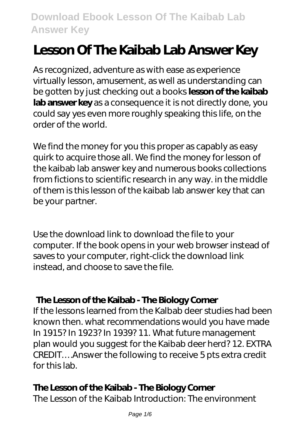# **Lesson Of The Kaibab Lab Answer Key**

As recognized, adventure as with ease as experience virtually lesson, amusement, as well as understanding can be gotten by just checking out a books **lesson of the kaibab lab answer key** as a consequence it is not directly done, you could say yes even more roughly speaking this life, on the order of the world.

We find the money for you this proper as capably as easy quirk to acquire those all. We find the money for lesson of the kaibab lab answer key and numerous books collections from fictions to scientific research in any way. in the middle of them is this lesson of the kaibab lab answer key that can be your partner.

Use the download link to download the file to your computer. If the book opens in your web browser instead of saves to your computer, right-click the download link instead, and choose to save the file.

#### **The Lesson of the Kaibab - The Biology Corner**

If the lessons learned from the Kalbab deer studies had been known then. what recommendations would you have made In 1915? In 1923? In 1939? 11. What future management plan would you suggest for the Kaibab deer herd? 12. EXTRA CREDIT….Answer the following to receive 5 pts extra credit for this lab.

#### **The Lesson of the Kaibab - The Biology Corner**

The Lesson of the Kaibab Introduction: The environment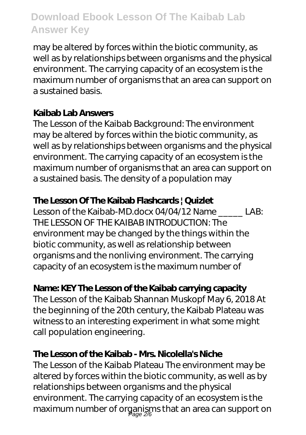may be altered by forces within the biotic community, as well as by relationships between organisms and the physical environment. The carrying capacity of an ecosystem is the maximum number of organisms that an area can support on a sustained basis.

#### **Kaibab Lab Answers**

The Lesson of the Kaibab Background: The environment may be altered by forces within the biotic community, as well as by relationships between organisms and the physical environment. The carrying capacity of an ecosystem is the maximum number of organisms that an area can support on a sustained basis. The density of a population may

## **The Lesson Of The Kaibab Flashcards | Quizlet**

Lesson of the Kaibab-MD.docx 04/04/12 Name \_\_\_\_\_ LAB: THE LESSON OF THE KAIBAB INTRODUCTION: The environment may be changed by the things within the biotic community, as well as relationship between organisms and the nonliving environment. The carrying capacity of an ecosystem is the maximum number of

# **Name: KEY The Lesson of the Kaibab carrying capacity**

The Lesson of the Kaibab Shannan Muskopf May 6, 2018 At the beginning of the 20th century, the Kaibab Plateau was witness to an interesting experiment in what some might call population engineering.

## **The Lesson of the Kaibab - Mrs. Nicolella's Niche**

The Lesson of the Kaibab Plateau The environment may be altered by forces within the biotic community, as well as by relationships between organisms and the physical environment. The carrying capacity of an ecosystem is the maximum number of organisms that an area can support on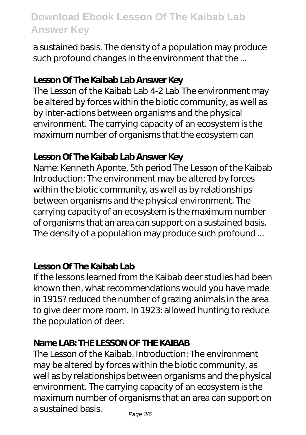a sustained basis. The density of a population may produce such profound changes in the environment that the ...

#### **Lesson Of The Kaibab Lab Answer Key**

The Lesson of the Kaibab Lab 4-2 Lab The environment may be altered by forces within the biotic community, as well as by inter-actions between organisms and the physical environment. The carrying capacity of an ecosystem is the maximum number of organisms that the ecosystem can

#### **Lesson Of The Kaibab Lab Answer Key**

Name: Kenneth Aponte, 5th period The Lesson of the Kaibab Introduction: The environment may be altered by forces within the biotic community, as well as by relationships between organisms and the physical environment. The carrying capacity of an ecosystem is the maximum number of organisms that an area can support on a sustained basis. The density of a population may produce such profound ...

#### **Lesson Of The Kaibab Lab**

If the lessons learned from the Kaibab deer studies had been known then, what recommendations would you have made in 1915? reduced the number of grazing animals in the area to give deer more room. In 1923: allowed hunting to reduce the population of deer.

## **Name LAB: THE LESSON OF THE KAIBAB**

The Lesson of the Kaibab. Introduction: The environment may be altered by forces within the biotic community, as well as by relationships between organisms and the physical environment. The carrying capacity of an ecosystem is the maximum number of organisms that an area can support on a sustained basis.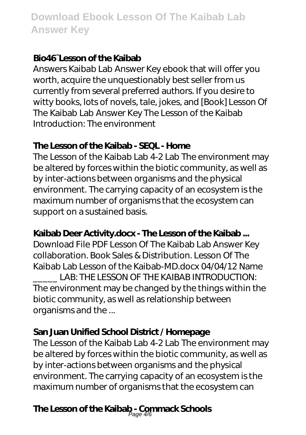## **Bio46~Lesson of the Kaibab**

Answers Kaibab Lab Answer Key ebook that will offer you worth, acquire the unquestionably best seller from us currently from several preferred authors. If you desire to witty books, lots of novels, tale, jokes, and [Book] Lesson Of The Kaibab Lab Answer Key The Lesson of the Kaibab Introduction: The environment

## **The Lesson of the Kaibab - SEQL - Home**

The Lesson of the Kaibab Lab 4-2 Lab The environment may be altered by forces within the biotic community, as well as by inter-actions between organisms and the physical environment. The carrying capacity of an ecosystem is the maximum number of organisms that the ecosystem can support on a sustained basis.

# **Kaibab Deer Activity.docx - The Lesson of the Kaibab ...**

Download File PDF Lesson Of The Kaibab Lab Answer Key collaboration. Book Sales & Distribution. Lesson Of The Kaibab Lab Lesson of the Kaibab-MD.docx 04/04/12 Name LAB: THE LESSON OF THE KAIBAB INTRODUCTION: The environment may be changed by the things within the biotic community, as well as relationship between

organisms and the ...

# **San Juan Unified School District / Homepage**

The Lesson of the Kaibab Lab 4-2 Lab The environment may be altered by forces within the biotic community, as well as by inter-actions between organisms and the physical environment. The carrying capacity of an ecosystem is the maximum number of organisms that the ecosystem can

# **The Lesson of the Kaibab - Commack Schools** Page 4/6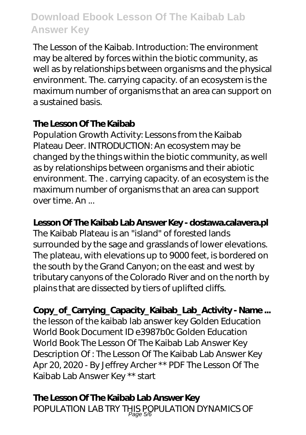The Lesson of the Kaibab. Introduction: The environment may be altered by forces within the biotic community, as well as by relationships between organisms and the physical environment. The. carrying capacity. of an ecosystem is the maximum number of organisms that an area can support on a sustained basis.

#### **The Lesson Of The Kaibab**

Population Growth Activity: Lessons from the Kaibab Plateau Deer. INTRODUCTION: An ecosystem may be changed by the things within the biotic community, as well as by relationships between organisms and their abiotic environment. The . carrying capacity. of an ecosystem is the maximum number of organisms that an area can support over time. An ...

#### **Lesson Of The Kaibab Lab Answer Key - dostawa.calavera.pl**

The Kaibab Plateau is an "island" of forested lands surrounded by the sage and grasslands of lower elevations. The plateau, with elevations up to 9000 feet, is bordered on the south by the Grand Canyon; on the east and west by tributary canyons of the Colorado River and on the north by plains that are dissected by tiers of uplifted cliffs.

**Copy\_of\_Carrying\_Capacity\_Kaibab\_Lab\_Activity - Name ...** the lesson of the kaibab lab answer key Golden Education World Book Document ID e3987b0c Golden Education World Book The Lesson Of The Kaibab Lab Answer Key Description Of : The Lesson Of The Kaibab Lab Answer Key Apr 20, 2020 - By Jeffrey Archer \*\* PDF The Lesson Of The Kaibab Lab Answer Key \*\* start

**The Lesson Of The Kaibab Lab Answer Key** POPULATION LAB TRY THIS POPULATION DYNAMICS OF